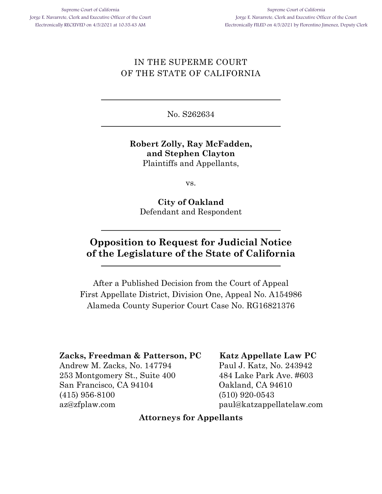## IN THE SUPERME COURT OF THE STATE OF CALIFORNIA

No. S262634

#### **Robert Zolly, Ray McFadden, and Stephen Clayton** Plaintiffs and Appellants,

vs.

**City of Oakland** Defendant and Respondent

# **Opposition to Request for Judicial Notice of the Legislature of the State of California**

After a Published Decision from the Court of Appeal First Appellate District, Division One, Appeal No. A154986 Alameda County Superior Court Case No. RG16821376

#### **Zacks, Freedman & Patterson, PC**

Andrew M. Zacks, No. 147794 253 Montgomery St., Suite 400 San Francisco, CA 94104 (415) 956-8100 az@zfplaw.com

#### **Katz Appellate Law PC**

Paul J. Katz, No. 243942 484 Lake Park Ave. #603 Oakland, CA 94610 (510) 920-0543 paul@katzappellatelaw.com

#### **Attorneys for Appellants**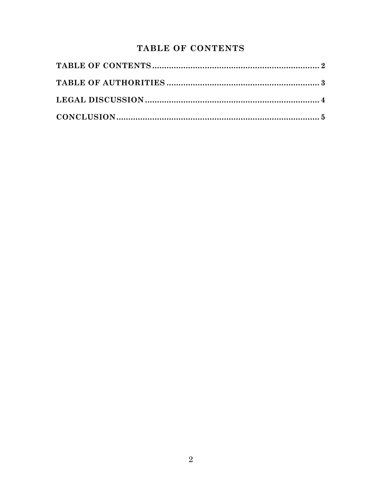## TABLE OF CONTENTS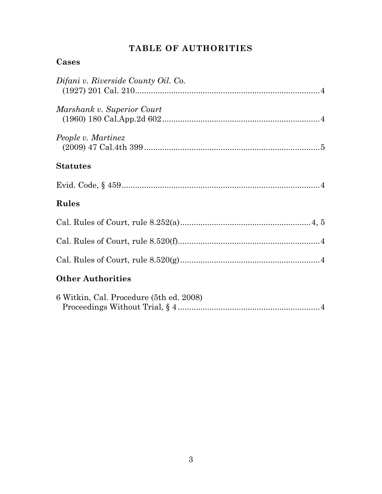# **TABLE OF AUTHORITIES**

## **Cases**

| Difani v. Riverside County Oil. Co.     |
|-----------------------------------------|
|                                         |
| Marshank v. Superior Court              |
| People v. Martinez                      |
| <b>Statutes</b>                         |
|                                         |
| <b>Rules</b>                            |
|                                         |
|                                         |
|                                         |
| <b>Other Authorities</b>                |
| 6 Witkin, Cal. Procedure (5th ed. 2008) |

Proceedings Without Trial, § 4 ...............................................................4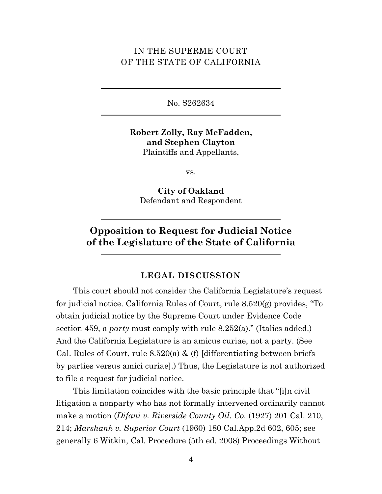### IN THE SUPERME COURT OF THE STATE OF CALIFORNIA

No. S262634

**Robert Zolly, Ray McFadden, and Stephen Clayton** Plaintiffs and Appellants,

vs.

**City of Oakland** Defendant and Respondent

# **Opposition to Request for Judicial Notice of the Legislature of the State of California**

#### **LEGAL DISCUSSION**

This court should not consider the California Legislature's request for judicial notice. California Rules of Court, rule 8.520(g) provides, "To obtain judicial notice by the Supreme Court under Evidence Code section 459, a *party* must comply with rule 8.252(a)." (Italics added.) And the California Legislature is an amicus curiae, not a party. (See Cal. Rules of Court, rule  $8.520(a)$  & (f) [differentiating between briefs by parties versus amici curiae].) Thus, the Legislature is not authorized to file a request for judicial notice.

This limitation coincides with the basic principle that "[i]n civil litigation a nonparty who has not formally intervened ordinarily cannot make a motion (*Difani v. Riverside County Oil. Co.* (1927) 201 Cal. 210, 214; *Marshank v. Superior Court* (1960) 180 Cal.App.2d 602, 605; see generally 6 Witkin, Cal. Procedure (5th ed. 2008) Proceedings Without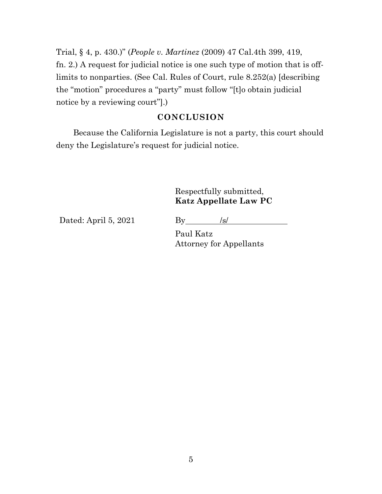Trial, § 4, p. 430.)" (*People v. Martinez* (2009) 47 Cal.4th 399, 419, fn. 2.) A request for judicial notice is one such type of motion that is offlimits to nonparties. (See Cal. Rules of Court, rule 8.252(a) [describing the "motion" procedures a "party" must follow "[t]o obtain judicial notice by a reviewing court"].)

#### **CONCLUSION**

Because the California Legislature is not a party, this court should deny the Legislature's request for judicial notice.

### Respectfully submitted, **Katz Appellate Law PC**

Dated: April 5, 2021 By  $/s/$ 

Paul Katz Attorney for Appellants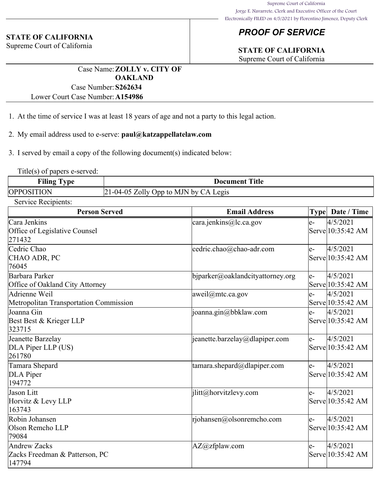# *PROOF OF SERVICE*

## **STATE OF CALIFORNIA**

Supreme Court of California

Case Name:**ZOLLY v. CITY OF OAKLAND** Case Number:**S262634**

Lower Court Case Number:**A154986**

- 1. At the time of service I was at least 18 years of age and not a party to this legal action.
- 2. My email address used to e-serve: **paul@katzappellatelaw.com**

3. I served by email a copy of the following document(s) indicated below:

Title(s) of papers e-served:

| <b>Filing Type</b> | Title<br>Document                       |
|--------------------|-----------------------------------------|
| <b>OPPOSITION</b>  | $21-04-05$ Zolly Opp to MJN by CA Legis |

Service Recipients:

**STATE OF CALIFORNIA** Supreme Court of California

| <b>Person Served</b>                                            | <b>Email Address</b>             |      | Type   Date / Time            |
|-----------------------------------------------------------------|----------------------------------|------|-------------------------------|
| Cara Jenkins<br>Office of Legislative Counsel<br>271432         | $\text{cara.jenkins@}$ lc.ca.gov | $e-$ | 4/5/2021<br>Serve 10:35:42 AM |
| Cedric Chao<br>CHAO ADR, PC<br>76045                            | cedric.chao@chao-adr.com         | le-  | 4/5/2021<br>Serve 10:35:42 AM |
| Barbara Parker<br>Office of Oakland City Attorney               | bjparker@oaklandcityattorney.org | $e-$ | 4/5/2021<br>Serve 10:35:42 AM |
| Adrienne Weil<br>Metropolitan Transportation Commission         | aweil@mtc.ca.gov                 | $e-$ | 4/5/2021<br>Serve 10:35:42 AM |
| Joanna Gin<br>Best Best & Krieger LLP<br>323715                 | joanna.gin@bbklaw.com            | $e-$ | 4/5/2021<br>Serve 10:35:42 AM |
| Jeanette Barzelay<br>DLA Piper LLP (US)<br>261780               | jeanette.barzelay@dlapiper.com   | le-  | 4/5/2021<br>Serve 10:35:42 AM |
| Tamara Shepard<br>DLA Piper<br>194772                           | tamara.shepard@dlapiper.com      | $e-$ | 4/5/2021<br>Serve 10:35:42 AM |
| Jason Litt<br>Horvitz & Levy LLP<br>163743                      | jlitt@horvitzlevy.com            | $e-$ | 4/5/2021<br>Serve 10:35:42 AM |
| Robin Johansen<br>Olson Remcho LLP<br>79084                     | rjohansen@olsonremcho.com        | $e-$ | 4/5/2021<br>Serve 10:35:42 AM |
| <b>Andrew Zacks</b><br>Zacks Freedman & Patterson, PC<br>147794 | AZ@zfplaw.com                    | $e-$ | 4/5/2021<br>Serve 10:35:42 AM |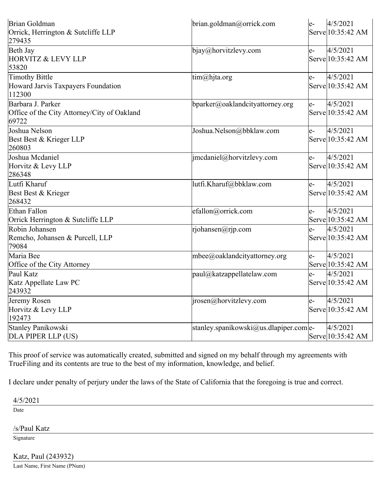|                                     | $e-$                                                                                      | 4/5/2021                               |
|-------------------------------------|-------------------------------------------------------------------------------------------|----------------------------------------|
|                                     |                                                                                           | Serve 10:35:42 AM                      |
|                                     |                                                                                           |                                        |
|                                     | $e-$                                                                                      | 4/5/2021                               |
|                                     |                                                                                           | Serve 10:35:42 AM                      |
|                                     |                                                                                           |                                        |
|                                     | $e-$                                                                                      | 4/5/2021                               |
|                                     |                                                                                           | Serve 10:35:42 AM                      |
|                                     |                                                                                           |                                        |
| bparker@oaklandcityattorney.org     | $e-$                                                                                      | 4/5/2021                               |
|                                     |                                                                                           | Serve 10:35:42 AM                      |
|                                     |                                                                                           |                                        |
| Joshua.Nelson@bbklaw.com            | $e-$                                                                                      | 4/5/2021                               |
|                                     |                                                                                           | Serve 10:35:42 AM                      |
|                                     |                                                                                           |                                        |
| imcdaniel@horvitzlevy.com           | $e-$                                                                                      | 4/5/2021                               |
|                                     |                                                                                           | Serve 10:35:42 AM                      |
|                                     |                                                                                           |                                        |
| lutfi.Kharuf@bbklaw.com             | $e-$                                                                                      | 4/5/2021                               |
|                                     |                                                                                           | Serve 10:35:42 AM                      |
|                                     |                                                                                           |                                        |
| efallon@orrick.com                  | $e-$                                                                                      | 4/5/2021                               |
|                                     |                                                                                           | Serve 10:35:42 AM                      |
| rjohansen@rjp.com                   | $e-$                                                                                      | 4/5/2021                               |
|                                     |                                                                                           | Serve 10:35:42 AM                      |
|                                     |                                                                                           |                                        |
| $m$ bee $@$ oaklandcityattorney.org | $e-$                                                                                      | 4/5/2021                               |
|                                     |                                                                                           | Serve 10:35:42 AM                      |
| paul@katzappellatelaw.com           | $e-$                                                                                      | 4/5/2021                               |
|                                     |                                                                                           | Serve 10:35:42 AM                      |
|                                     |                                                                                           |                                        |
| $ i$ rosen@horvitzlevy.com          | $e-$                                                                                      | 4/5/2021                               |
|                                     |                                                                                           | Serve 10:35:42 AM                      |
|                                     |                                                                                           |                                        |
|                                     |                                                                                           | 4/5/2021                               |
|                                     |                                                                                           | Serve 10:35:42 AM                      |
|                                     | brian.goldman@orrick.com<br>$bigq_{\emptyset}$ horvitzlevy.com<br>$\lim(\omega)$ hjta.org | stanley.spanikowski@us.dlapiper.com e- |

This proof of service was automatically created, submitted and signed on my behalf through my agreements with TrueFiling and its contents are true to the best of my information, knowledge, and belief.

I declare under penalty of perjury under the laws of the State of California that the foregoing is true and correct.

4/5/2021

Date

/s/Paul Katz

Signature

Katz, Paul (243932)

Last Name, First Name (PNum)